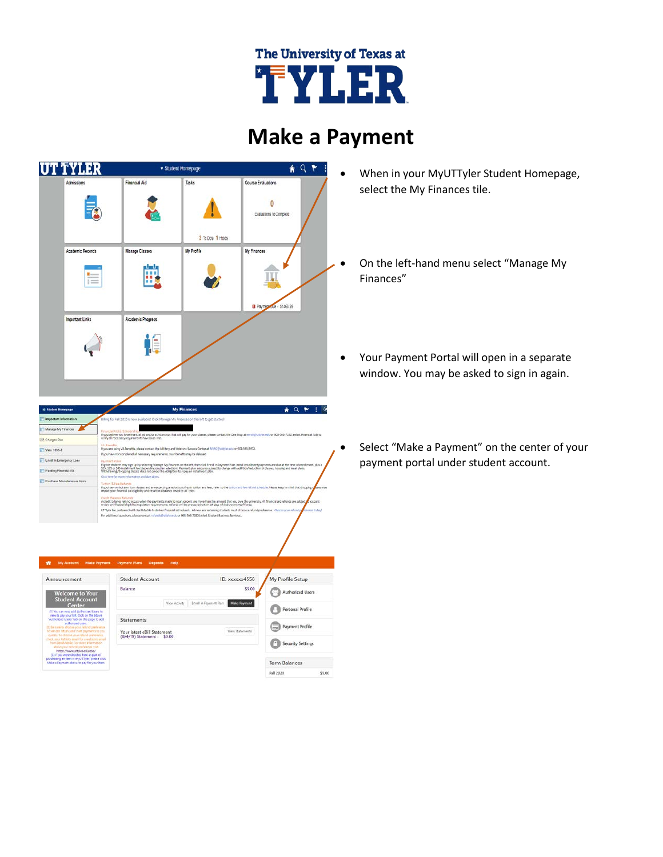

## **Make a Payment**



AQPIE We **EX Changes Des** T Vew 1895-T E Enroll in Entergency Loan Panding Financial Aid smade to your accou<br>nts: refuncs will be p .<br>bile to deliver financial aid refunds. All new and re ning students must of

| Announcement                                                                                                                                                                                                                                                                                                                                                                                                                                                                                                                                                             | <b>Student Account</b>                                    |               |                        | ID: xxxxxx4558         | My Profile Setup        |        |
|--------------------------------------------------------------------------------------------------------------------------------------------------------------------------------------------------------------------------------------------------------------------------------------------------------------------------------------------------------------------------------------------------------------------------------------------------------------------------------------------------------------------------------------------------------------------------|-----------------------------------------------------------|---------------|------------------------|------------------------|-------------------------|--------|
| <b>Welcome to Your</b>                                                                                                                                                                                                                                                                                                                                                                                                                                                                                                                                                   | Balance                                                   |               |                        | \$5.00                 | <b>Authorized Users</b> |        |
| <b>Student Account</b><br>Center<br>(1) You can now add durboyized Users to                                                                                                                                                                                                                                                                                                                                                                                                                                                                                              |                                                           | View Activity | Erroll in Fayment Flan | <b>Make Faymont</b>    | Personal Profile        |        |
| view & pay your bill. Click on the above<br>"Authorized Users" tab on this page to add<br>authorized users.<br>(2) Ea sure to district source of distance.<br>so we can return your over payments to you.<br>quickly. To choose your retund preference.<br>check your Patriots email for a inclusive email.<br>from David Mobile. For more information<br>thout your refund preference risit<br>https://www.uttvler.edu/sbs/<br>(3) If you were directed here as part of<br>purchasing an item in multiThler, please click<br>Make a Farment above to pay for your item. | <b>Statements</b>                                         |               |                        |                        | Payment Profile         |        |
|                                                                                                                                                                                                                                                                                                                                                                                                                                                                                                                                                                          | Your latest eBill Statement<br>(B/4/19) Statement: \$0.00 |               |                        | <b>View Statements</b> | $-1$                    |        |
|                                                                                                                                                                                                                                                                                                                                                                                                                                                                                                                                                                          |                                                           |               |                        |                        | Security Settings       |        |
|                                                                                                                                                                                                                                                                                                                                                                                                                                                                                                                                                                          |                                                           |               |                        |                        | <b>Term Balances</b>    |        |
|                                                                                                                                                                                                                                                                                                                                                                                                                                                                                                                                                                          |                                                           |               |                        |                        | Fall 2020               | \$5.00 |

- When in your MyUTTyler Student Homepage, select the My Finances tile.
- On the left-hand menu select "Manage My Finances"
- Your Payment Portal will open in a separate window. You may be asked to sign in again.
	- Select "Make a Payment" on the center of your payment portal under student account.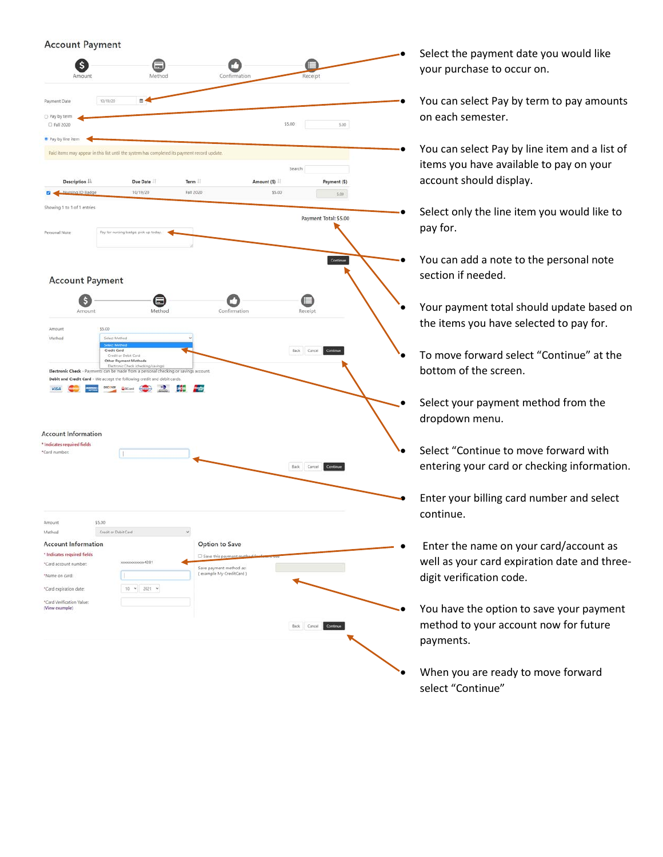## **Account Payment**



Select the payment date you would like your purchase to occur on.

- You can select Pay by term to pay amounts on each semester.
- You can select Pay by line item and a list of items you have available to pay on your account should display.
- Select only the line item you would like to pay for.
	- You can add a note to the personal note section if needed.
- Your payment total should update based on the items you have selected to pay for.
- To move forward select "Continue" at the bottom of the screen.
	- Select your payment method from the dropdown menu.
- Select "Continue to move forward with entering your card or checking information.
- Enter your billing card number and select continue.
- Enter the name on your card/account as well as your card expiration date and threedigit verification code.
- You have the option to save your payment method to your account now for future payments.
- When you are ready to move forward select "Continue"